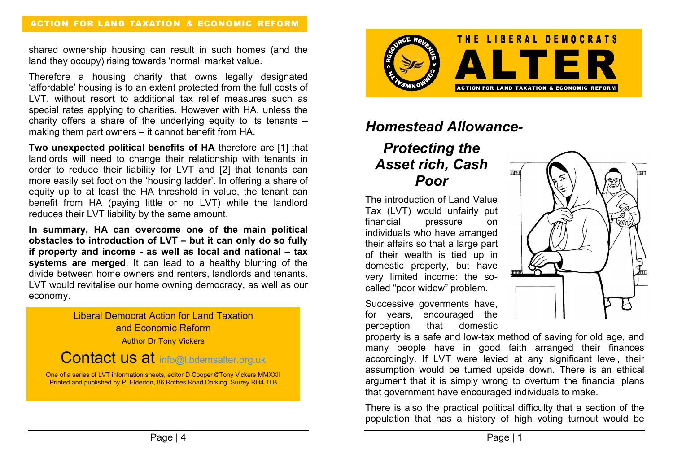shared ownership housing can result in such homes (and the land they occupy) rising towards 'normal' market value.

Therefore a housing charity that owns legally designated 'affordable' housing is to an extent protected from the full costs of LVT, without resort to additional tax relief measures such as special rates applying to charities. However with HA, unless the charity offers a share of the underlying equity to its tenants – making them part owners – it cannot benefit from HA.

Two unexpected political benefits of HA therefore are [1] that landlords will need to change their relationship with tenants in order to reduce their liability for LVT and [2] that tenants can more easily set foot on the 'housing ladder'. In offering a share of equity up to at least the HA threshold in value, the tenant can benefit from HA (paying little or no LVT) while the landlord reduces their LVT liability by the same amount.

In summary, HA can overcome one of the main political obstacles to introduction of LVT – but it can only do so fully if property and income - as well as local and national – tax systems are merged. It can lead to a healthy blurring of the divide between home owners and renters, landlords and tenants. LVT would revitalise our home owning democracy, as well as our economy.

> Liberal Democrat Action for Land Taxation and Economic Reform **Author Dr Tony Vickers**

## Contact us at info@libdemsalter.org.uk

One of a series of LVT information sheets, editor D Cooper ©Tony Vickers MMXXII Printed and published by P. Elderton, 86 Rothes Road Dorking, Surrey RH4 1LB



## Homestead Allowance-

## Protecting the Asset rich, Cash Poor

The introduction of Land Value Tax (LVT) would unfairly put financial pressure on individuals who have arranged their affairs so that a large part of their wealth is tied up in domestic property, but have very limited income: the socalled "poor widow" problem.

Successive goverments have, for years, encouraged the perception that domestic

property is a safe and low-tax method of saving for old age, and many people have in good faith arranged their finances accordingly. If LVT were levied at any significant level, their assumption would be turned upside down. There is an ethical argument that it is simply wrong to overturn the financial plans that government have encouraged individuals to make.

There is also the practical political difficulty that a section of the population that has a history of high voting turnout would be